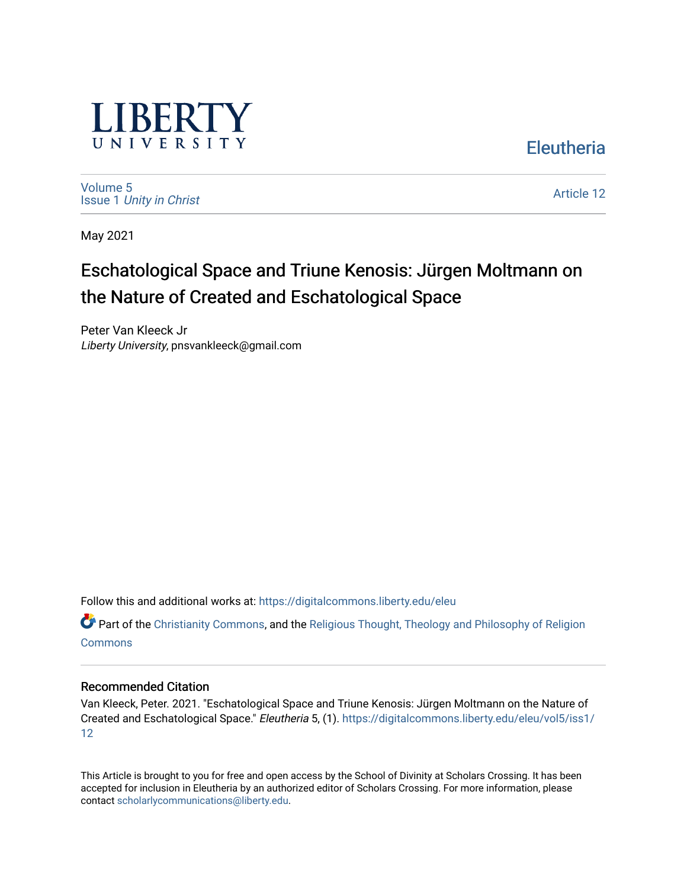

[Volume 5](https://digitalcommons.liberty.edu/eleu/vol5) Issue 1 [Unity in Christ](https://digitalcommons.liberty.edu/eleu/vol5/iss1)  [Article 12](https://digitalcommons.liberty.edu/eleu/vol5/iss1/12) 

**Eleutheria** 

May 2021

# Eschatological Space and Triune Kenosis: Jürgen Moltmann on the Nature of Created and Eschatological Space

Peter Van Kleeck Jr Liberty University, pnsvankleeck@gmail.com

Follow this and additional works at: [https://digitalcommons.liberty.edu/eleu](https://digitalcommons.liberty.edu/eleu?utm_source=digitalcommons.liberty.edu%2Feleu%2Fvol5%2Fiss1%2F12&utm_medium=PDF&utm_campaign=PDFCoverPages) 

Part of the [Christianity Commons,](http://network.bepress.com/hgg/discipline/1181?utm_source=digitalcommons.liberty.edu%2Feleu%2Fvol5%2Fiss1%2F12&utm_medium=PDF&utm_campaign=PDFCoverPages) and the [Religious Thought, Theology and Philosophy of Religion](http://network.bepress.com/hgg/discipline/544?utm_source=digitalcommons.liberty.edu%2Feleu%2Fvol5%2Fiss1%2F12&utm_medium=PDF&utm_campaign=PDFCoverPages)  [Commons](http://network.bepress.com/hgg/discipline/544?utm_source=digitalcommons.liberty.edu%2Feleu%2Fvol5%2Fiss1%2F12&utm_medium=PDF&utm_campaign=PDFCoverPages)

#### Recommended Citation

Van Kleeck, Peter. 2021. "Eschatological Space and Triune Kenosis: Jürgen Moltmann on the Nature of Created and Eschatological Space." Eleutheria 5, (1). [https://digitalcommons.liberty.edu/eleu/vol5/iss1/](https://digitalcommons.liberty.edu/eleu/vol5/iss1/12?utm_source=digitalcommons.liberty.edu%2Feleu%2Fvol5%2Fiss1%2F12&utm_medium=PDF&utm_campaign=PDFCoverPages) [12](https://digitalcommons.liberty.edu/eleu/vol5/iss1/12?utm_source=digitalcommons.liberty.edu%2Feleu%2Fvol5%2Fiss1%2F12&utm_medium=PDF&utm_campaign=PDFCoverPages)

This Article is brought to you for free and open access by the School of Divinity at Scholars Crossing. It has been accepted for inclusion in Eleutheria by an authorized editor of Scholars Crossing. For more information, please contact [scholarlycommunications@liberty.edu](mailto:scholarlycommunications@liberty.edu).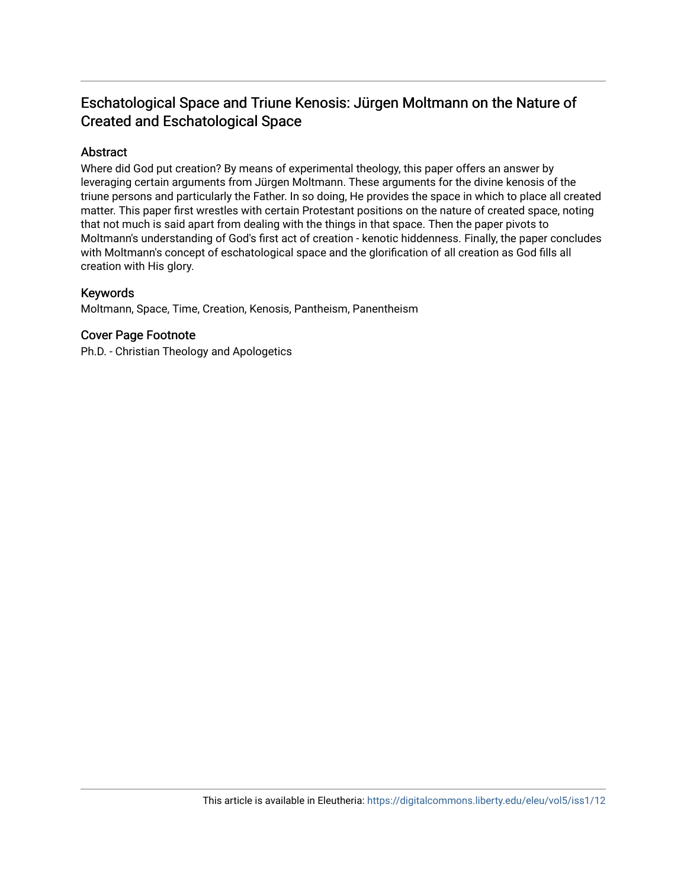# Eschatological Space and Triune Kenosis: Jürgen Moltmann on the Nature of Created and Eschatological Space

# Abstract

Where did God put creation? By means of experimental theology, this paper offers an answer by leveraging certain arguments from Jürgen Moltmann. These arguments for the divine kenosis of the triune persons and particularly the Father. In so doing, He provides the space in which to place all created matter. This paper first wrestles with certain Protestant positions on the nature of created space, noting that not much is said apart from dealing with the things in that space. Then the paper pivots to Moltmann's understanding of God's first act of creation - kenotic hiddenness. Finally, the paper concludes with Moltmann's concept of eschatological space and the glorification of all creation as God fills all creation with His glory.

### Keywords

Moltmann, Space, Time, Creation, Kenosis, Pantheism, Panentheism

# Cover Page Footnote

Ph.D. - Christian Theology and Apologetics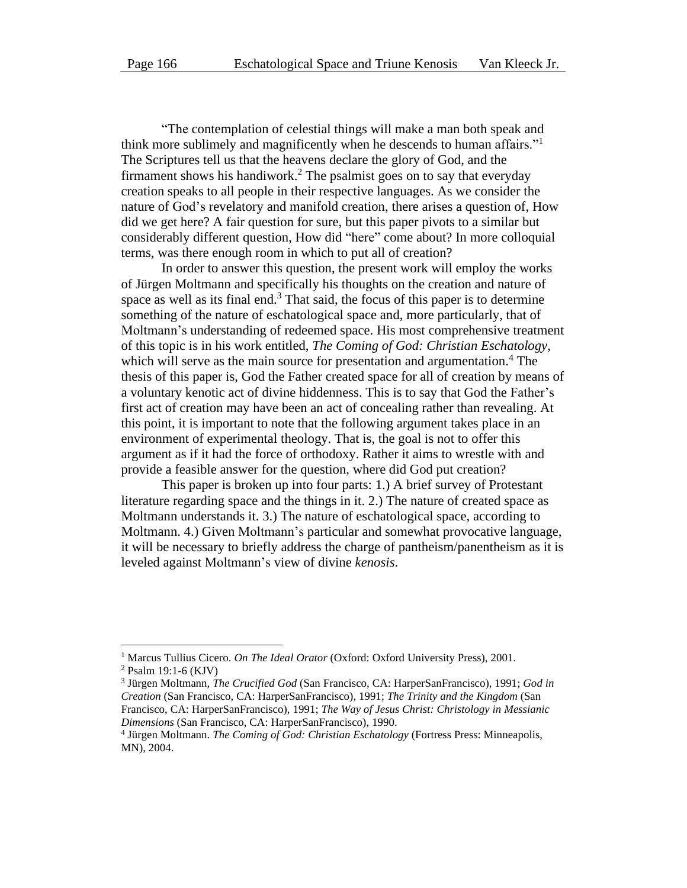"The contemplation of celestial things will make a man both speak and think more sublimely and magnificently when he descends to human affairs."<sup>1</sup> The Scriptures tell us that the heavens declare the glory of God, and the firmament shows his handiwork.<sup>2</sup> The psalmist goes on to say that everyday creation speaks to all people in their respective languages. As we consider the nature of God's revelatory and manifold creation, there arises a question of, How did we get here? A fair question for sure, but this paper pivots to a similar but considerably different question, How did "here" come about? In more colloquial terms, was there enough room in which to put all of creation?

In order to answer this question, the present work will employ the works of Jürgen Moltmann and specifically his thoughts on the creation and nature of space as well as its final end. $3$  That said, the focus of this paper is to determine something of the nature of eschatological space and, more particularly, that of Moltmann's understanding of redeemed space. His most comprehensive treatment of this topic is in his work entitled, *The Coming of God: Christian Eschatology*, which will serve as the main source for presentation and argumentation.<sup>4</sup> The thesis of this paper is, God the Father created space for all of creation by means of a voluntary kenotic act of divine hiddenness. This is to say that God the Father's first act of creation may have been an act of concealing rather than revealing. At this point, it is important to note that the following argument takes place in an environment of experimental theology. That is, the goal is not to offer this argument as if it had the force of orthodoxy. Rather it aims to wrestle with and provide a feasible answer for the question, where did God put creation?

This paper is broken up into four parts: 1.) A brief survey of Protestant literature regarding space and the things in it. 2.) The nature of created space as Moltmann understands it. 3.) The nature of eschatological space, according to Moltmann. 4.) Given Moltmann's particular and somewhat provocative language, it will be necessary to briefly address the charge of pantheism/panentheism as it is leveled against Moltmann's view of divine *kenosis*.

<sup>1</sup> Marcus Tullius Cicero. *On The Ideal Orator* (Oxford: Oxford University Press), 2001.

<sup>2</sup> Psalm 19:1-6 (KJV)

<sup>3</sup> Jürgen Moltmann, *The Crucified God* (San Francisco, CA: HarperSanFrancisco), 1991; *God in Creation* (San Francisco, CA: HarperSanFrancisco), 1991; *The Trinity and the Kingdom* (San Francisco, CA: HarperSanFrancisco), 1991; *The Way of Jesus Christ: Christology in Messianic Dimensions* (San Francisco, CA: HarperSanFrancisco), 1990.

<sup>4</sup> Jürgen Moltmann. *The Coming of God: Christian Eschatology* (Fortress Press: Minneapolis, MN), 2004.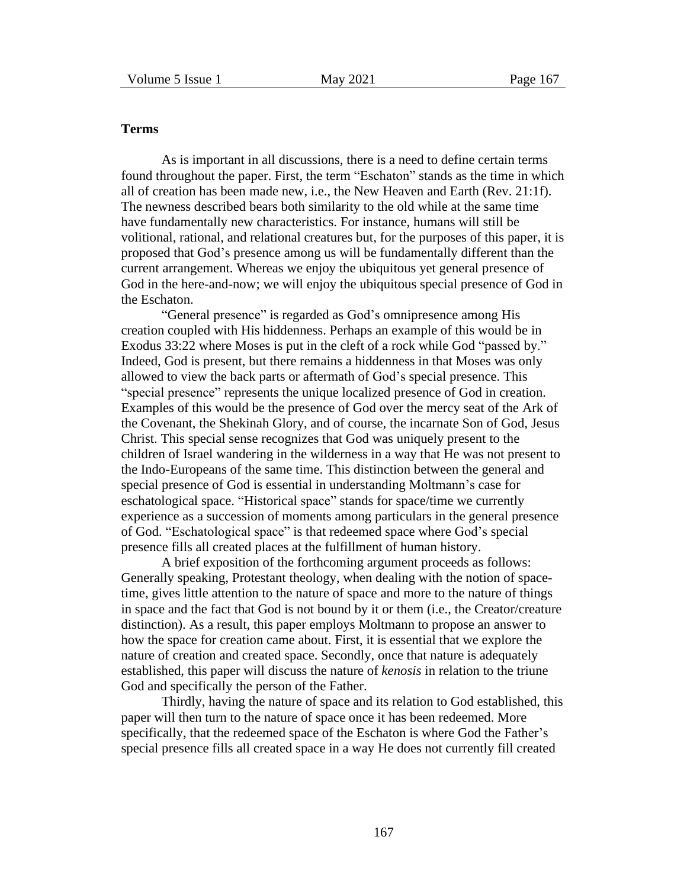## **Terms**

As is important in all discussions, there is a need to define certain terms found throughout the paper. First, the term "Eschaton" stands as the time in which all of creation has been made new, i.e., the New Heaven and Earth (Rev. 21:1f). The newness described bears both similarity to the old while at the same time have fundamentally new characteristics. For instance, humans will still be volitional, rational, and relational creatures but, for the purposes of this paper, it is proposed that God's presence among us will be fundamentally different than the current arrangement. Whereas we enjoy the ubiquitous yet general presence of God in the here-and-now; we will enjoy the ubiquitous special presence of God in the Eschaton.

"General presence" is regarded as God's omnipresence among His creation coupled with His hiddenness. Perhaps an example of this would be in Exodus 33:22 where Moses is put in the cleft of a rock while God "passed by." Indeed, God is present, but there remains a hiddenness in that Moses was only allowed to view the back parts or aftermath of God's special presence. This "special presence" represents the unique localized presence of God in creation. Examples of this would be the presence of God over the mercy seat of the Ark of the Covenant, the Shekinah Glory, and of course, the incarnate Son of God, Jesus Christ. This special sense recognizes that God was uniquely present to the children of Israel wandering in the wilderness in a way that He was not present to the Indo-Europeans of the same time. This distinction between the general and special presence of God is essential in understanding Moltmann's case for eschatological space. "Historical space" stands for space/time we currently experience as a succession of moments among particulars in the general presence of God. "Eschatological space" is that redeemed space where God's special presence fills all created places at the fulfillment of human history.

A brief exposition of the forthcoming argument proceeds as follows: Generally speaking, Protestant theology, when dealing with the notion of spacetime, gives little attention to the nature of space and more to the nature of things in space and the fact that God is not bound by it or them (i.e., the Creator/creature distinction). As a result, this paper employs Moltmann to propose an answer to how the space for creation came about. First, it is essential that we explore the nature of creation and created space. Secondly, once that nature is adequately established, this paper will discuss the nature of *kenosis* in relation to the triune God and specifically the person of the Father.

Thirdly, having the nature of space and its relation to God established, this paper will then turn to the nature of space once it has been redeemed. More specifically, that the redeemed space of the Eschaton is where God the Father's special presence fills all created space in a way He does not currently fill created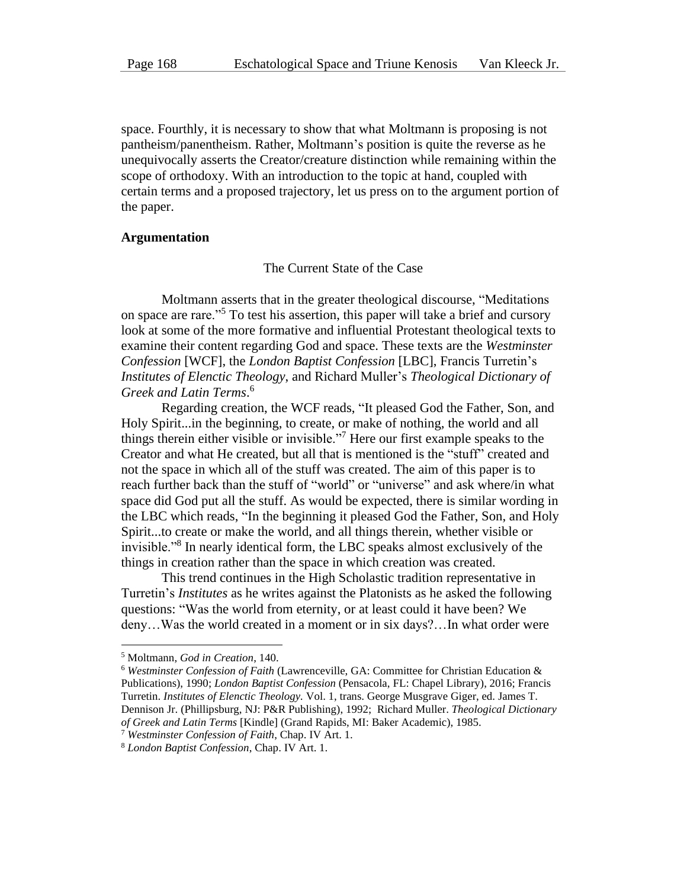space. Fourthly, it is necessary to show that what Moltmann is proposing is not pantheism/panentheism. Rather, Moltmann's position is quite the reverse as he unequivocally asserts the Creator/creature distinction while remaining within the scope of orthodoxy. With an introduction to the topic at hand, coupled with certain terms and a proposed trajectory, let us press on to the argument portion of the paper.

#### **Argumentation**

The Current State of the Case

Moltmann asserts that in the greater theological discourse, "Meditations on space are rare."<sup>5</sup> To test his assertion, this paper will take a brief and cursory look at some of the more formative and influential Protestant theological texts to examine their content regarding God and space. These texts are the *Westminster Confession* [WCF], the *London Baptist Confession* [LBC], Francis Turretin's *Institutes of Elenctic Theology*, and Richard Muller's *Theological Dictionary of Greek and Latin Terms*. 6

Regarding creation, the WCF reads, "It pleased God the Father, Son, and Holy Spirit...in the beginning, to create, or make of nothing, the world and all things therein either visible or invisible."<sup>7</sup> Here our first example speaks to the Creator and what He created, but all that is mentioned is the "stuff" created and not the space in which all of the stuff was created. The aim of this paper is to reach further back than the stuff of "world" or "universe" and ask where/in what space did God put all the stuff. As would be expected, there is similar wording in the LBC which reads, "In the beginning it pleased God the Father, Son, and Holy Spirit...to create or make the world, and all things therein, whether visible or invisible."<sup>8</sup> In nearly identical form, the LBC speaks almost exclusively of the things in creation rather than the space in which creation was created.

This trend continues in the High Scholastic tradition representative in Turretin's *Institutes* as he writes against the Platonists as he asked the following questions: "Was the world from eternity, or at least could it have been? We deny…Was the world created in a moment or in six days?…In what order were

<sup>5</sup> Moltmann, *God in Creation*, 140.

<sup>6</sup> *Westminster Confession of Faith* (Lawrenceville, GA: Committee for Christian Education & Publications), 1990; *London Baptist Confession* (Pensacola, FL: Chapel Library), 2016; Francis Turretin. *Institutes of Elenctic Theology.* Vol. 1, trans. George Musgrave Giger, ed. James T. Dennison Jr. (Phillipsburg, NJ: P&R Publishing), 1992; Richard Muller. *Theological Dictionary of Greek and Latin Terms* [Kindle] (Grand Rapids, MI: Baker Academic), 1985.

<sup>7</sup> *Westminster Confession of Faith*, Chap. IV Art. 1.

<sup>8</sup> *London Baptist Confession*, Chap. IV Art. 1.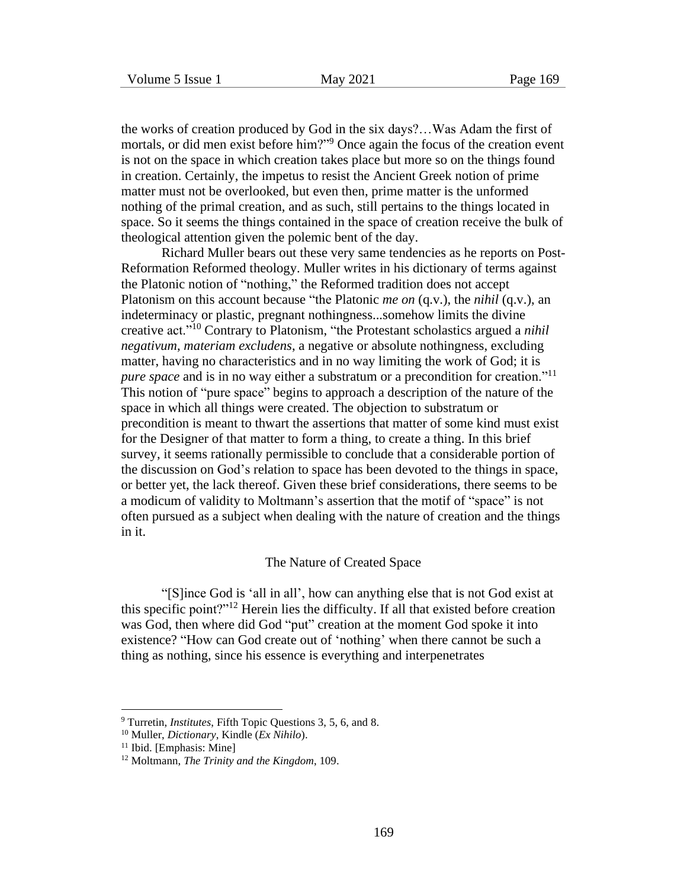the works of creation produced by God in the six days?…Was Adam the first of mortals, or did men exist before him?"<sup>9</sup> Once again the focus of the creation event is not on the space in which creation takes place but more so on the things found in creation. Certainly, the impetus to resist the Ancient Greek notion of prime matter must not be overlooked, but even then, prime matter is the unformed nothing of the primal creation, and as such, still pertains to the things located in space. So it seems the things contained in the space of creation receive the bulk of theological attention given the polemic bent of the day.

Richard Muller bears out these very same tendencies as he reports on Post-Reformation Reformed theology. Muller writes in his dictionary of terms against the Platonic notion of "nothing," the Reformed tradition does not accept Platonism on this account because "the Platonic *me on* (q.v.), the *nihil* (q.v.), an indeterminacy or plastic, pregnant nothingness...somehow limits the divine creative act."<sup>10</sup> Contrary to Platonism, "the Protestant scholastics argued a *nihil negativum*, *materiam excludens*, a negative or absolute nothingness, excluding matter, having no characteristics and in no way limiting the work of God; it is *pure space* and is in no way either a substratum or a precondition for creation."<sup>11</sup> This notion of "pure space" begins to approach a description of the nature of the space in which all things were created. The objection to substratum or precondition is meant to thwart the assertions that matter of some kind must exist for the Designer of that matter to form a thing, to create a thing. In this brief survey, it seems rationally permissible to conclude that a considerable portion of the discussion on God's relation to space has been devoted to the things in space, or better yet, the lack thereof. Given these brief considerations, there seems to be a modicum of validity to Moltmann's assertion that the motif of "space" is not often pursued as a subject when dealing with the nature of creation and the things in it.

#### The Nature of Created Space

"[S]ince God is 'all in all', how can anything else that is not God exist at this specific point?"<sup>12</sup> Herein lies the difficulty. If all that existed before creation was God, then where did God "put" creation at the moment God spoke it into existence? "How can God create out of 'nothing' when there cannot be such a thing as nothing, since his essence is everything and interpenetrates

<sup>9</sup> Turretin, *Institutes*, Fifth Topic Questions 3, 5, 6, and 8.

<sup>10</sup> Muller, *Dictionary*, Kindle (*Ex Nihilo*).

<sup>&</sup>lt;sup>11</sup> Ibid. [Emphasis: Mine]

<sup>12</sup> Moltmann, *The Trinity and the Kingdom*, 109.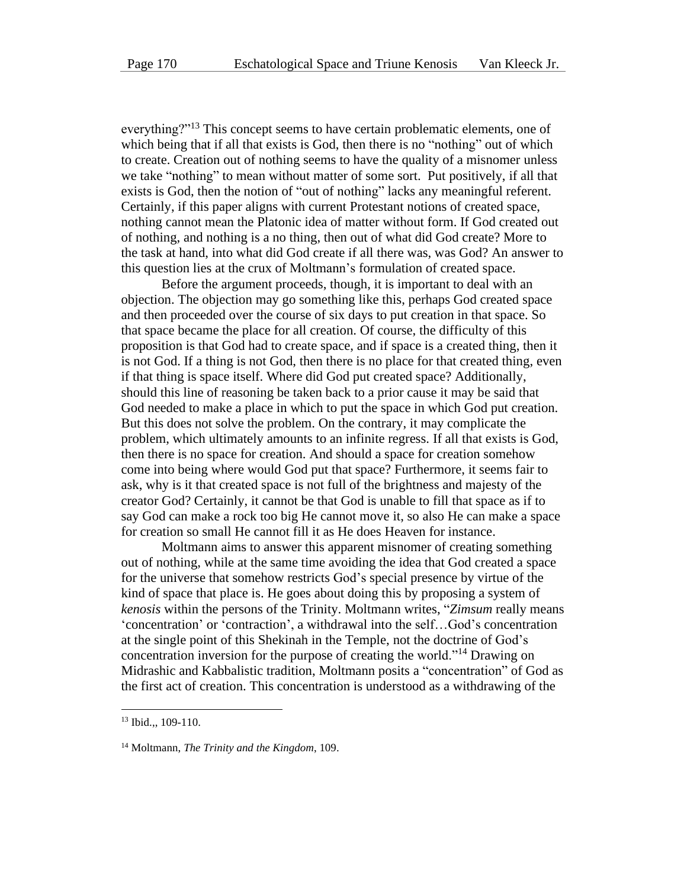everything?"<sup>13</sup> This concept seems to have certain problematic elements, one of which being that if all that exists is God, then there is no "nothing" out of which to create. Creation out of nothing seems to have the quality of a misnomer unless we take "nothing" to mean without matter of some sort. Put positively, if all that exists is God, then the notion of "out of nothing" lacks any meaningful referent. Certainly, if this paper aligns with current Protestant notions of created space, nothing cannot mean the Platonic idea of matter without form. If God created out of nothing, and nothing is a no thing, then out of what did God create? More to the task at hand, into what did God create if all there was, was God? An answer to this question lies at the crux of Moltmann's formulation of created space.

Before the argument proceeds, though, it is important to deal with an objection. The objection may go something like this, perhaps God created space and then proceeded over the course of six days to put creation in that space. So that space became the place for all creation. Of course, the difficulty of this proposition is that God had to create space, and if space is a created thing, then it is not God. If a thing is not God, then there is no place for that created thing, even if that thing is space itself. Where did God put created space? Additionally, should this line of reasoning be taken back to a prior cause it may be said that God needed to make a place in which to put the space in which God put creation. But this does not solve the problem. On the contrary, it may complicate the problem, which ultimately amounts to an infinite regress. If all that exists is God, then there is no space for creation. And should a space for creation somehow come into being where would God put that space? Furthermore, it seems fair to ask, why is it that created space is not full of the brightness and majesty of the creator God? Certainly, it cannot be that God is unable to fill that space as if to say God can make a rock too big He cannot move it, so also He can make a space for creation so small He cannot fill it as He does Heaven for instance.

Moltmann aims to answer this apparent misnomer of creating something out of nothing, while at the same time avoiding the idea that God created a space for the universe that somehow restricts God's special presence by virtue of the kind of space that place is. He goes about doing this by proposing a system of *kenosis* within the persons of the Trinity. Moltmann writes, "*Zimsum* really means 'concentration' or 'contraction', a withdrawal into the self…God's concentration at the single point of this Shekinah in the Temple, not the doctrine of God's concentration inversion for the purpose of creating the world."<sup>14</sup> Drawing on Midrashic and Kabbalistic tradition, Moltmann posits a "concentration" of God as the first act of creation. This concentration is understood as a withdrawing of the

<sup>&</sup>lt;sup>13</sup> Ibid.,, 109-110.

<sup>14</sup> Moltmann, *The Trinity and the Kingdom*, 109.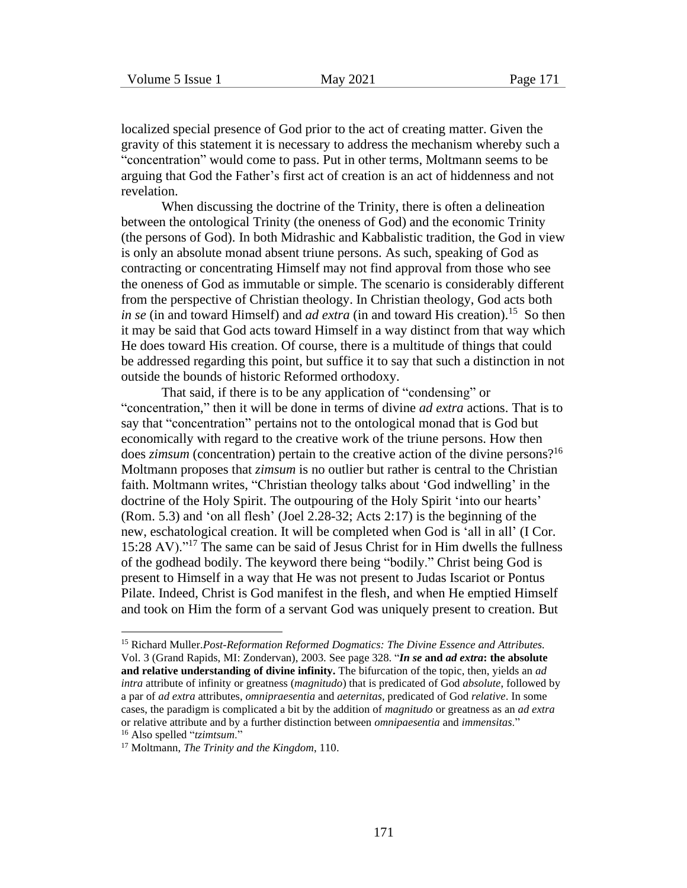localized special presence of God prior to the act of creating matter. Given the gravity of this statement it is necessary to address the mechanism whereby such a "concentration" would come to pass. Put in other terms, Moltmann seems to be arguing that God the Father's first act of creation is an act of hiddenness and not revelation.

When discussing the doctrine of the Trinity, there is often a delineation between the ontological Trinity (the oneness of God) and the economic Trinity (the persons of God). In both Midrashic and Kabbalistic tradition, the God in view is only an absolute monad absent triune persons. As such, speaking of God as contracting or concentrating Himself may not find approval from those who see the oneness of God as immutable or simple. The scenario is considerably different from the perspective of Christian theology. In Christian theology, God acts both *in se* (in and toward Himself) and *ad extra* (in and toward His creation).<sup>15</sup> So then it may be said that God acts toward Himself in a way distinct from that way which He does toward His creation. Of course, there is a multitude of things that could be addressed regarding this point, but suffice it to say that such a distinction in not outside the bounds of historic Reformed orthodoxy.

That said, if there is to be any application of "condensing" or "concentration," then it will be done in terms of divine *ad extra* actions. That is to say that "concentration" pertains not to the ontological monad that is God but economically with regard to the creative work of the triune persons. How then does *zimsum* (concentration) pertain to the creative action of the divine persons?<sup>16</sup> Moltmann proposes that *zimsum* is no outlier but rather is central to the Christian faith. Moltmann writes, "Christian theology talks about 'God indwelling' in the doctrine of the Holy Spirit. The outpouring of the Holy Spirit 'into our hearts' (Rom. 5.3) and 'on all flesh' (Joel 2.28-32; Acts 2:17) is the beginning of the new, eschatological creation. It will be completed when God is 'all in all' (I Cor. 15:28 AV)."<sup>17</sup> The same can be said of Jesus Christ for in Him dwells the fullness of the godhead bodily. The keyword there being "bodily." Christ being God is present to Himself in a way that He was not present to Judas Iscariot or Pontus Pilate. Indeed, Christ is God manifest in the flesh, and when He emptied Himself and took on Him the form of a servant God was uniquely present to creation. But

<sup>15</sup> Richard Muller.*Post-Reformation Reformed Dogmatics: The Divine Essence and Attributes.* Vol. 3 (Grand Rapids, MI: Zondervan), 2003. See page 328. "*In se* **and** *ad extra***: the absolute and relative understanding of divine infinity.** The bifurcation of the topic, then, yields an *ad intra* attribute of infinity or greatness (*magnitudo*) that is predicated of God *absolute*, followed by a par of *ad extra* attributes, *omnipraesentia* and *aeternitas,* predicated of God *relative*. In some cases, the paradigm is complicated a bit by the addition of *magnitudo* or greatness as an *ad extra* or relative attribute and by a further distinction between *omnipaesentia* and *immensitas*." <sup>16</sup> Also spelled "*tzimtsum*."

<sup>17</sup> Moltmann, *The Trinity and the Kingdom*, 110.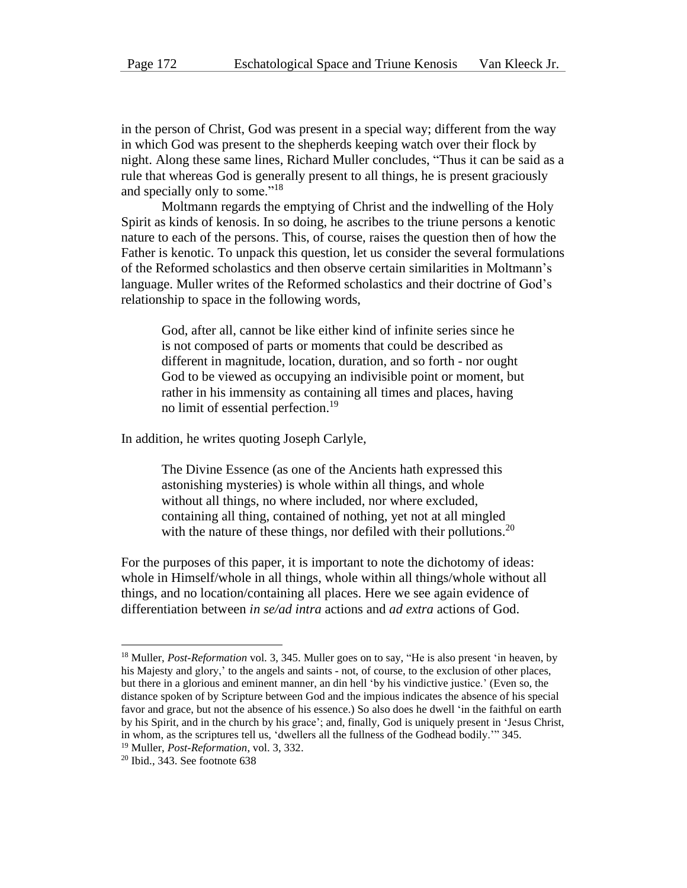in the person of Christ, God was present in a special way; different from the way in which God was present to the shepherds keeping watch over their flock by night. Along these same lines, Richard Muller concludes, "Thus it can be said as a rule that whereas God is generally present to all things, he is present graciously and specially only to some."<sup>18</sup>

Moltmann regards the emptying of Christ and the indwelling of the Holy Spirit as kinds of kenosis. In so doing, he ascribes to the triune persons a kenotic nature to each of the persons. This, of course, raises the question then of how the Father is kenotic. To unpack this question, let us consider the several formulations of the Reformed scholastics and then observe certain similarities in Moltmann's language. Muller writes of the Reformed scholastics and their doctrine of God's relationship to space in the following words,

God, after all, cannot be like either kind of infinite series since he is not composed of parts or moments that could be described as different in magnitude, location, duration, and so forth - nor ought God to be viewed as occupying an indivisible point or moment, but rather in his immensity as containing all times and places, having no limit of essential perfection.<sup>19</sup>

In addition, he writes quoting Joseph Carlyle,

The Divine Essence (as one of the Ancients hath expressed this astonishing mysteries) is whole within all things, and whole without all things, no where included, nor where excluded, containing all thing, contained of nothing, yet not at all mingled with the nature of these things, nor defiled with their pollutions.<sup>20</sup>

For the purposes of this paper, it is important to note the dichotomy of ideas: whole in Himself/whole in all things, whole within all things/whole without all things, and no location/containing all places. Here we see again evidence of differentiation between *in se/ad intra* actions and *ad extra* actions of God.

<sup>18</sup> Muller, *Post-Reformation* vol. 3, 345. Muller goes on to say, "He is also present 'in heaven, by his Majesty and glory,' to the angels and saints - not, of course, to the exclusion of other places, but there in a glorious and eminent manner, an din hell 'by his vindictive justice.' (Even so, the distance spoken of by Scripture between God and the impious indicates the absence of his special favor and grace, but not the absence of his essence.) So also does he dwell 'in the faithful on earth by his Spirit, and in the church by his grace'; and, finally, God is uniquely present in 'Jesus Christ, in whom, as the scriptures tell us, 'dwellers all the fullness of the Godhead bodily.'" 345. <sup>19</sup> Muller, *Post-Reformation*, vol. 3, 332.

 $20$  Ibid., 343. See footnote 638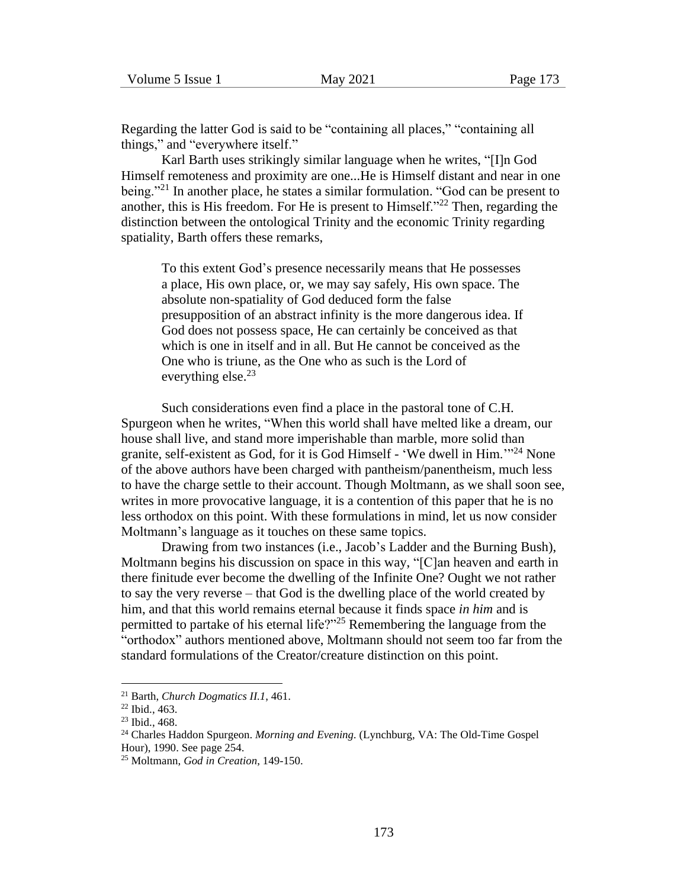Regarding the latter God is said to be "containing all places," "containing all things," and "everywhere itself."

Karl Barth uses strikingly similar language when he writes, "[I]n God Himself remoteness and proximity are one...He is Himself distant and near in one being."<sup>21</sup> In another place, he states a similar formulation. "God can be present to another, this is His freedom. For He is present to Himself."<sup>22</sup> Then, regarding the distinction between the ontological Trinity and the economic Trinity regarding spatiality, Barth offers these remarks,

To this extent God's presence necessarily means that He possesses a place, His own place, or, we may say safely, His own space. The absolute non-spatiality of God deduced form the false presupposition of an abstract infinity is the more dangerous idea. If God does not possess space, He can certainly be conceived as that which is one in itself and in all. But He cannot be conceived as the One who is triune, as the One who as such is the Lord of everything else. $^{23}$ 

Such considerations even find a place in the pastoral tone of C.H. Spurgeon when he writes, "When this world shall have melted like a dream, our house shall live, and stand more imperishable than marble, more solid than granite, self-existent as God, for it is God Himself - 'We dwell in Him.'"<sup>24</sup> None of the above authors have been charged with pantheism/panentheism, much less to have the charge settle to their account. Though Moltmann, as we shall soon see, writes in more provocative language, it is a contention of this paper that he is no less orthodox on this point. With these formulations in mind, let us now consider Moltmann's language as it touches on these same topics.

Drawing from two instances (i.e., Jacob's Ladder and the Burning Bush), Moltmann begins his discussion on space in this way, "[C]an heaven and earth in there finitude ever become the dwelling of the Infinite One? Ought we not rather to say the very reverse – that God is the dwelling place of the world created by him, and that this world remains eternal because it finds space *in him* and is permitted to partake of his eternal life?"<sup>25</sup> Remembering the language from the "orthodox" authors mentioned above, Moltmann should not seem too far from the standard formulations of the Creator/creature distinction on this point.

<sup>21</sup> Barth, *Church Dogmatics II.1*, 461.

<sup>22</sup> Ibid., 463.

<sup>23</sup> Ibid., 468.

<sup>24</sup> Charles Haddon Spurgeon. *Morning and Evening.* (Lynchburg, VA: The Old-Time Gospel Hour), 1990. See page 254.

<sup>25</sup> Moltmann, *God in Creation*, 149-150.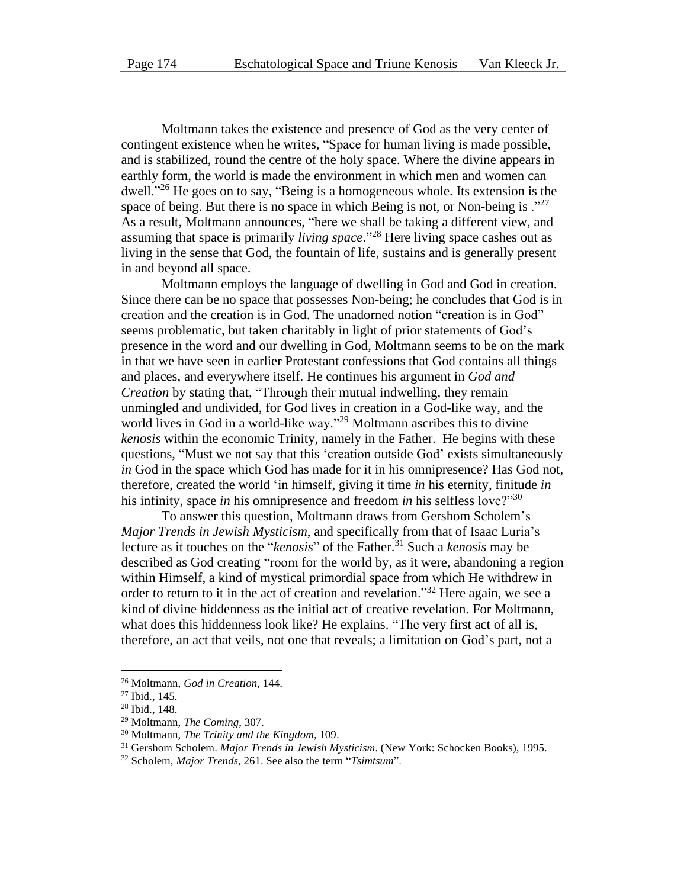Moltmann takes the existence and presence of God as the very center of contingent existence when he writes, "Space for human living is made possible, and is stabilized, round the centre of the holy space. Where the divine appears in earthly form, the world is made the environment in which men and women can dwell."<sup>26</sup> He goes on to say, "Being is a homogeneous whole. Its extension is the space of being. But there is no space in which Being is not, or Non-being is  $.^{227}$ As a result, Moltmann announces, "here we shall be taking a different view, and assuming that space is primarily *living space*."<sup>28</sup> Here living space cashes out as living in the sense that God, the fountain of life, sustains and is generally present in and beyond all space.

Moltmann employs the language of dwelling in God and God in creation. Since there can be no space that possesses Non-being; he concludes that God is in creation and the creation is in God. The unadorned notion "creation is in God" seems problematic, but taken charitably in light of prior statements of God's presence in the word and our dwelling in God, Moltmann seems to be on the mark in that we have seen in earlier Protestant confessions that God contains all things and places, and everywhere itself. He continues his argument in *God and Creation* by stating that, "Through their mutual indwelling, they remain unmingled and undivided, for God lives in creation in a God-like way, and the world lives in God in a world-like way."<sup>29</sup> Moltmann ascribes this to divine *kenosis* within the economic Trinity, namely in the Father. He begins with these questions, "Must we not say that this 'creation outside God' exists simultaneously *in* God in the space which God has made for it in his omnipresence? Has God not, therefore, created the world 'in himself, giving it time *in* his eternity, finitude *in* his infinity, space *in* his omnipresence and freedom *in* his selfless love?"<sup>30</sup>

To answer this question, Moltmann draws from Gershom Scholem's *Major Trends in Jewish Mysticism*, and specifically from that of Isaac Luria's lecture as it touches on the "*kenosis*" of the Father.<sup>31</sup> Such a *kenosis* may be described as God creating "room for the world by, as it were, abandoning a region within Himself, a kind of mystical primordial space from which He withdrew in order to return to it in the act of creation and revelation."<sup>32</sup> Here again, we see a kind of divine hiddenness as the initial act of creative revelation. For Moltmann, what does this hiddenness look like? He explains. "The very first act of all is, therefore, an act that veils, not one that reveals; a limitation on God's part, not a

<sup>26</sup> Moltmann, *God in Creation*, 144.

<sup>27</sup> Ibid., 145.

<sup>28</sup> Ibid., 148.

<sup>29</sup> Moltmann, *The Coming*, 307.

<sup>30</sup> Moltmann, *The Trinity and the Kingdom*, 109.

<sup>31</sup> Gershom Scholem. *Major Trends in Jewish Mysticism*. (New York: Schocken Books), 1995.

<sup>32</sup> Scholem, *Major Trends*, 261. See also the term "*Tsimtsum*".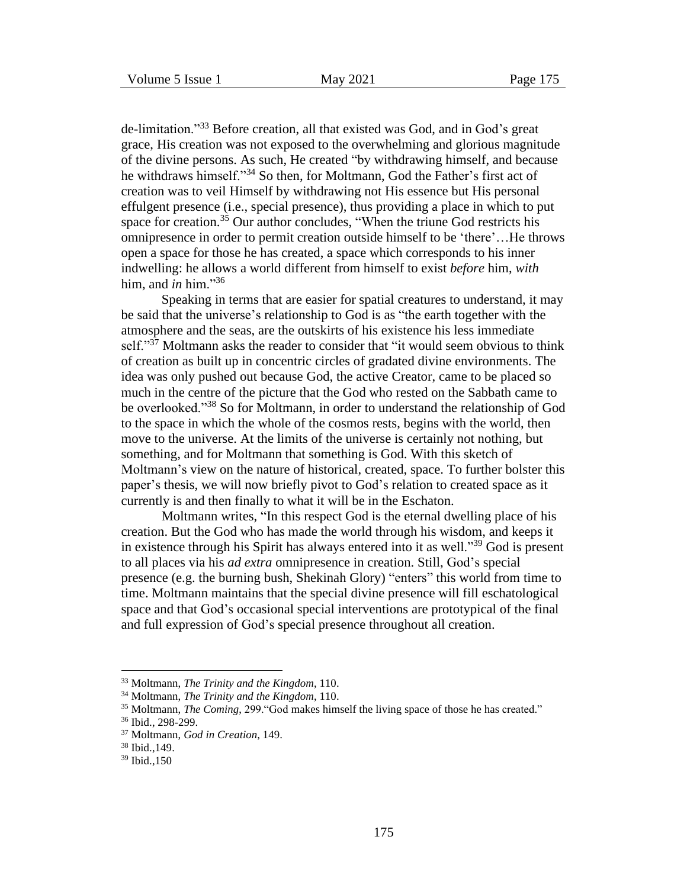de-limitation."<sup>33</sup> Before creation, all that existed was God, and in God's great grace, His creation was not exposed to the overwhelming and glorious magnitude of the divine persons. As such, He created "by withdrawing himself, and because he withdraws himself."<sup>34</sup> So then, for Moltmann, God the Father's first act of creation was to veil Himself by withdrawing not His essence but His personal effulgent presence (i.e., special presence), thus providing a place in which to put space for creation.<sup>35</sup> Our author concludes, "When the triune God restricts his omnipresence in order to permit creation outside himself to be 'there'…He throws open a space for those he has created, a space which corresponds to his inner indwelling: he allows a world different from himself to exist *before* him, *with* him, and *in* him."<sup>36</sup>

Speaking in terms that are easier for spatial creatures to understand, it may be said that the universe's relationship to God is as "the earth together with the atmosphere and the seas, are the outskirts of his existence his less immediate self." $37$  Moltmann asks the reader to consider that "it would seem obvious to think of creation as built up in concentric circles of gradated divine environments. The idea was only pushed out because God, the active Creator, came to be placed so much in the centre of the picture that the God who rested on the Sabbath came to be overlooked."<sup>38</sup> So for Moltmann, in order to understand the relationship of God to the space in which the whole of the cosmos rests, begins with the world, then move to the universe. At the limits of the universe is certainly not nothing, but something, and for Moltmann that something is God. With this sketch of Moltmann's view on the nature of historical, created, space. To further bolster this paper's thesis, we will now briefly pivot to God's relation to created space as it currently is and then finally to what it will be in the Eschaton.

Moltmann writes, "In this respect God is the eternal dwelling place of his creation. But the God who has made the world through his wisdom, and keeps it in existence through his Spirit has always entered into it as well.<sup>339</sup> God is present to all places via his *ad extra* omnipresence in creation. Still, God's special presence (e.g. the burning bush, Shekinah Glory) "enters" this world from time to time. Moltmann maintains that the special divine presence will fill eschatological space and that God's occasional special interventions are prototypical of the final and full expression of God's special presence throughout all creation.

<sup>33</sup> Moltmann, *The Trinity and the Kingdom*, 110.

<sup>34</sup> Moltmann, *The Trinity and the Kingdom*, 110.

<sup>35</sup> Moltmann, *The Coming*, 299."God makes himself the living space of those he has created."

<sup>36</sup> Ibid., 298-299.

<sup>37</sup> Moltmann, *God in Creation*, 149.

<sup>38</sup> Ibid.,149.

<sup>39</sup> Ibid.,150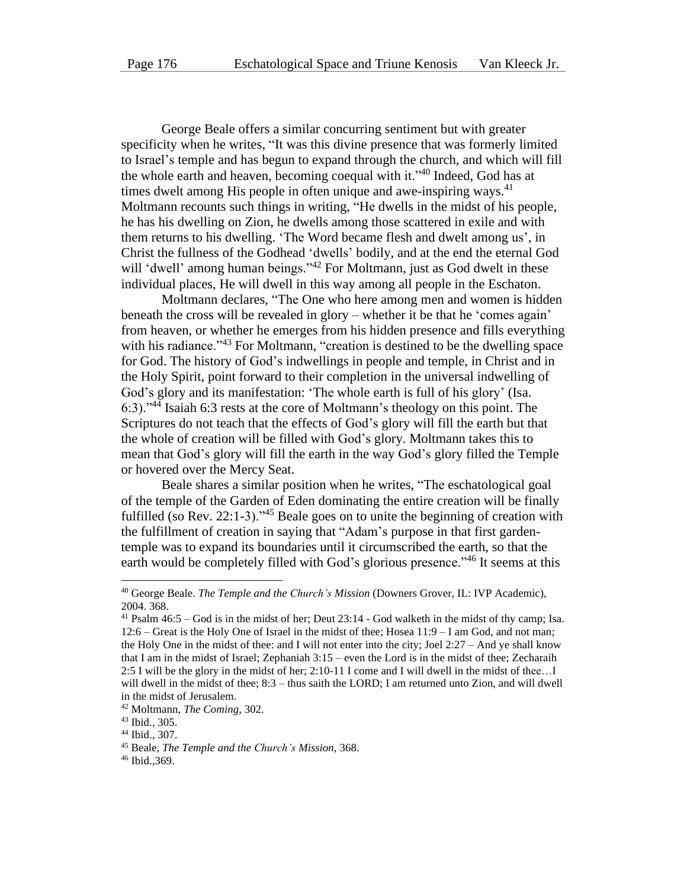George Beale offers a similar concurring sentiment but with greater specificity when he writes, "It was this divine presence that was formerly limited to Israel's temple and has begun to expand through the church, and which will fill the whole earth and heaven, becoming coequal with it.<sup>340</sup> Indeed, God has at times dwelt among His people in often unique and awe-inspiring ways. $41$ Moltmann recounts such things in writing, "He dwells in the midst of his people, he has his dwelling on Zion, he dwells among those scattered in exile and with them returns to his dwelling. 'The Word became flesh and dwelt among us', in Christ the fullness of the Godhead 'dwells' bodily, and at the end the eternal God will 'dwell' among human beings."<sup>42</sup> For Moltmann, just as God dwelt in these individual places, He will dwell in this way among all people in the Eschaton.

Moltmann declares, "The One who here among men and women is hidden beneath the cross will be revealed in glory – whether it be that he 'comes again' from heaven, or whether he emerges from his hidden presence and fills everything with his radiance."<sup>43</sup> For Moltmann, "creation is destined to be the dwelling space for God. The history of God's indwellings in people and temple, in Christ and in the Holy Spirit, point forward to their completion in the universal indwelling of God's glory and its manifestation: 'The whole earth is full of his glory' (Isa. 6:3)."<sup>44</sup> Isaiah 6:3 rests at the core of Moltmann's theology on this point. The Scriptures do not teach that the effects of God's glory will fill the earth but that the whole of creation will be filled with God's glory. Moltmann takes this to mean that God's glory will fill the earth in the way God's glory filled the Temple or hovered over the Mercy Seat.

Beale shares a similar position when he writes, "The eschatological goal of the temple of the Garden of Eden dominating the entire creation will be finally fulfilled (so Rev. 22:1-3)."<sup>45</sup> Beale goes on to unite the beginning of creation with the fulfillment of creation in saying that "Adam's purpose in that first gardentemple was to expand its boundaries until it circumscribed the earth, so that the earth would be completely filled with God's glorious presence."<sup>46</sup> It seems at this

<sup>40</sup> George Beale. *The Temple and the Church's Mission* (Downers Grover, IL: IVP Academic), 2004. 368.

<sup>41</sup> Psalm 46:5 – God is in the midst of her; Deut 23:14 - God walketh in the midst of thy camp; Isa. 12:6 – Great is the Holy One of Israel in the midst of thee; Hosea 11:9 – I am God, and not man; the Holy One in the midst of thee: and I will not enter into the city; Joel 2:27 – And ye shall know that I am in the midst of Israel; Zephaniah 3:15 – even the Lord is in the midst of thee; Zecharaih 2:5 I will be the glory in the midst of her; 2:10-11 I come and I will dwell in the midst of thee…I will dwell in the midst of thee;  $8:3$  – thus saith the LORD; I am returned unto Zion, and will dwell in the midst of Jerusalem.

<sup>42</sup> Moltmann, *The Coming*, 302.

<sup>43</sup> Ibid., 305.

<sup>44</sup> Ibid., 307.

<sup>45</sup> Beale, *The Temple and the Church's Mission*, 368.

<sup>46</sup> Ibid.,369.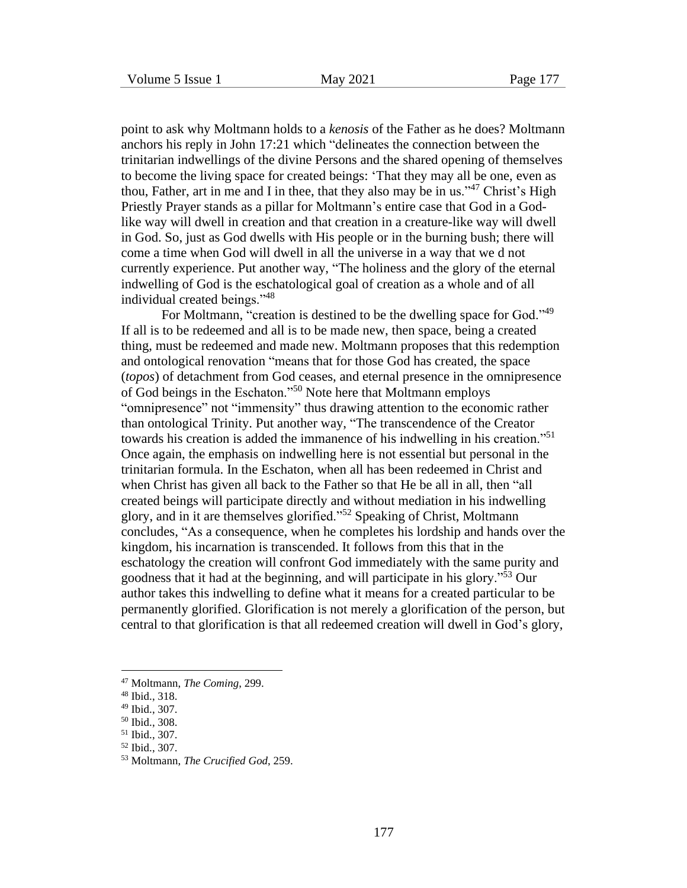point to ask why Moltmann holds to a *kenosis* of the Father as he does? Moltmann anchors his reply in John 17:21 which "delineates the connection between the trinitarian indwellings of the divine Persons and the shared opening of themselves to become the living space for created beings: 'That they may all be one, even as thou, Father, art in me and I in thee, that they also may be in us."<sup>47</sup> Christ's High Priestly Prayer stands as a pillar for Moltmann's entire case that God in a Godlike way will dwell in creation and that creation in a creature-like way will dwell in God. So, just as God dwells with His people or in the burning bush; there will come a time when God will dwell in all the universe in a way that we d not currently experience. Put another way, "The holiness and the glory of the eternal indwelling of God is the eschatological goal of creation as a whole and of all individual created beings."<sup>48</sup>

For Moltmann, "creation is destined to be the dwelling space for God."<sup>49</sup> If all is to be redeemed and all is to be made new, then space, being a created thing, must be redeemed and made new. Moltmann proposes that this redemption and ontological renovation "means that for those God has created, the space (*topos*) of detachment from God ceases, and eternal presence in the omnipresence of God beings in the Eschaton."<sup>50</sup> Note here that Moltmann employs "omnipresence" not "immensity" thus drawing attention to the economic rather than ontological Trinity. Put another way, "The transcendence of the Creator towards his creation is added the immanence of his indwelling in his creation."<sup>51</sup> Once again, the emphasis on indwelling here is not essential but personal in the trinitarian formula. In the Eschaton, when all has been redeemed in Christ and when Christ has given all back to the Father so that He be all in all, then "all created beings will participate directly and without mediation in his indwelling glory, and in it are themselves glorified."<sup>52</sup> Speaking of Christ, Moltmann concludes, "As a consequence, when he completes his lordship and hands over the kingdom, his incarnation is transcended. It follows from this that in the eschatology the creation will confront God immediately with the same purity and goodness that it had at the beginning, and will participate in his glory."<sup>53</sup> Our author takes this indwelling to define what it means for a created particular to be permanently glorified. Glorification is not merely a glorification of the person, but central to that glorification is that all redeemed creation will dwell in God's glory,

<sup>47</sup> Moltmann, *The Coming*, 299.

<sup>48</sup> Ibid., 318.

<sup>49</sup> Ibid., 307.

<sup>50</sup> Ibid., 308.

<sup>51</sup> Ibid., 307.

<sup>52</sup> Ibid., 307.

<sup>53</sup> Moltmann, *The Crucified God*, 259.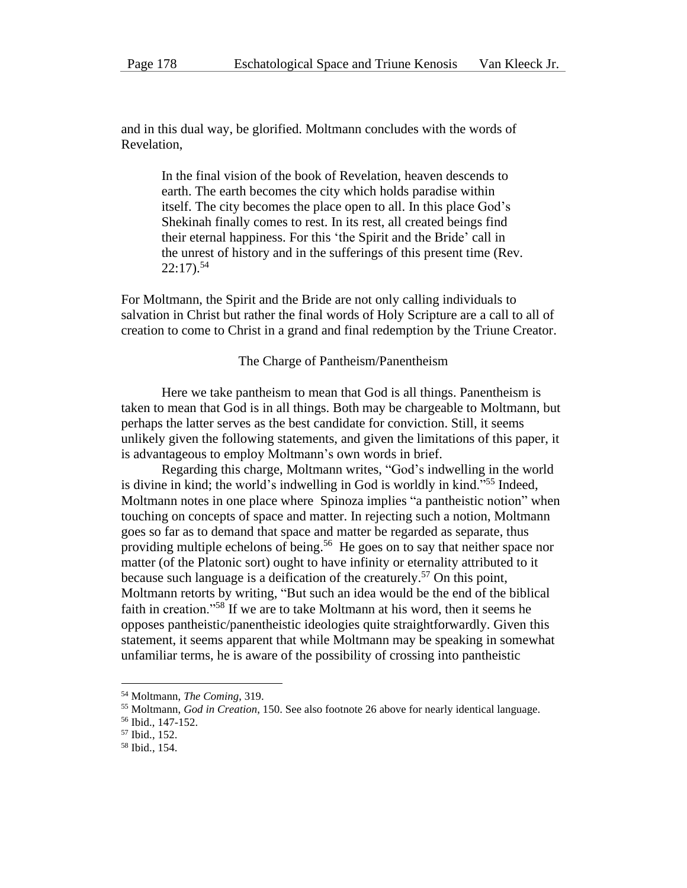and in this dual way, be glorified. Moltmann concludes with the words of Revelation,

In the final vision of the book of Revelation, heaven descends to earth. The earth becomes the city which holds paradise within itself. The city becomes the place open to all. In this place God's Shekinah finally comes to rest. In its rest, all created beings find their eternal happiness. For this 'the Spirit and the Bride' call in the unrest of history and in the sufferings of this present time (Rev.  $22:17$ ).<sup>54</sup>

For Moltmann, the Spirit and the Bride are not only calling individuals to salvation in Christ but rather the final words of Holy Scripture are a call to all of creation to come to Christ in a grand and final redemption by the Triune Creator.

#### The Charge of Pantheism/Panentheism

Here we take pantheism to mean that God is all things. Panentheism is taken to mean that God is in all things. Both may be chargeable to Moltmann, but perhaps the latter serves as the best candidate for conviction. Still, it seems unlikely given the following statements, and given the limitations of this paper, it is advantageous to employ Moltmann's own words in brief.

Regarding this charge, Moltmann writes, "God's indwelling in the world is divine in kind; the world's indwelling in God is worldly in kind."<sup>55</sup> Indeed, Moltmann notes in one place where Spinoza implies "a pantheistic notion" when touching on concepts of space and matter. In rejecting such a notion, Moltmann goes so far as to demand that space and matter be regarded as separate, thus providing multiple echelons of being.<sup>56</sup> He goes on to say that neither space nor matter (of the Platonic sort) ought to have infinity or eternality attributed to it because such language is a deification of the creaturely.<sup>57</sup> On this point, Moltmann retorts by writing, "But such an idea would be the end of the biblical faith in creation."<sup>58</sup> If we are to take Moltmann at his word, then it seems he opposes pantheistic/panentheistic ideologies quite straightforwardly. Given this statement, it seems apparent that while Moltmann may be speaking in somewhat unfamiliar terms, he is aware of the possibility of crossing into pantheistic

<sup>54</sup> Moltmann, *The Coming*, 319.

<sup>55</sup> Moltmann, *God in Creation*, 150. See also footnote 26 above for nearly identical language.

<sup>56</sup> Ibid., 147-152.

<sup>57</sup> Ibid., 152.

<sup>58</sup> Ibid., 154.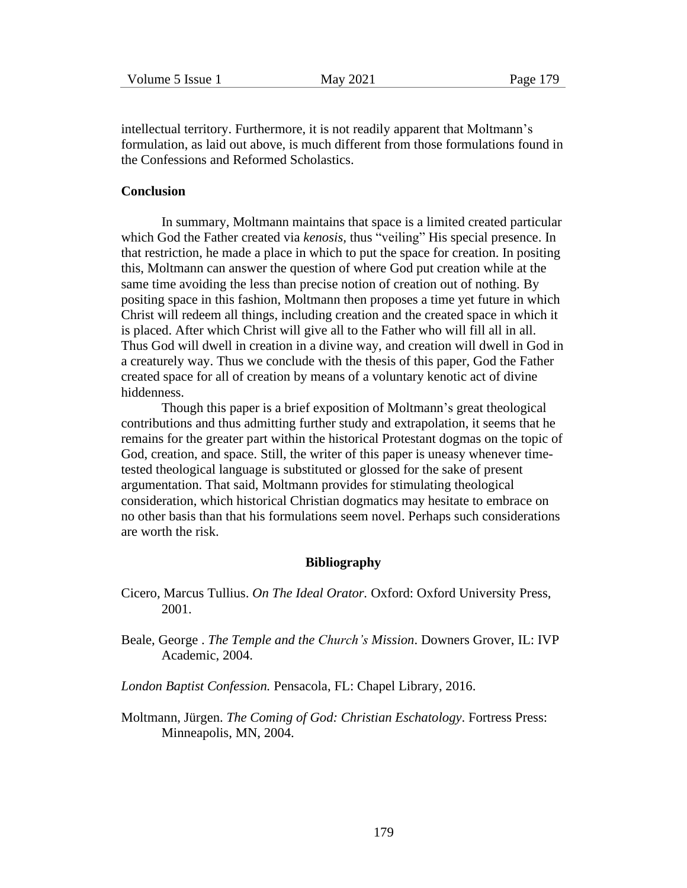intellectual territory. Furthermore, it is not readily apparent that Moltmann's formulation, as laid out above, is much different from those formulations found in the Confessions and Reformed Scholastics.

### **Conclusion**

In summary, Moltmann maintains that space is a limited created particular which God the Father created via *kenosis,* thus "veiling" His special presence. In that restriction, he made a place in which to put the space for creation. In positing this, Moltmann can answer the question of where God put creation while at the same time avoiding the less than precise notion of creation out of nothing. By positing space in this fashion, Moltmann then proposes a time yet future in which Christ will redeem all things, including creation and the created space in which it is placed. After which Christ will give all to the Father who will fill all in all. Thus God will dwell in creation in a divine way, and creation will dwell in God in a creaturely way. Thus we conclude with the thesis of this paper, God the Father created space for all of creation by means of a voluntary kenotic act of divine hiddenness.

Though this paper is a brief exposition of Moltmann's great theological contributions and thus admitting further study and extrapolation, it seems that he remains for the greater part within the historical Protestant dogmas on the topic of God, creation, and space. Still, the writer of this paper is uneasy whenever timetested theological language is substituted or glossed for the sake of present argumentation. That said, Moltmann provides for stimulating theological consideration, which historical Christian dogmatics may hesitate to embrace on no other basis than that his formulations seem novel. Perhaps such considerations are worth the risk.

#### **Bibliography**

- Cicero, Marcus Tullius. *On The Ideal Orator.* Oxford: Oxford University Press, 2001.
- Beale, George . *The Temple and the Church's Mission*. Downers Grover, IL: IVP Academic, 2004.
- *London Baptist Confession.* Pensacola, FL: Chapel Library, 2016.
- Moltmann, Jürgen. *The Coming of God: Christian Eschatology*. Fortress Press: Minneapolis, MN, 2004.